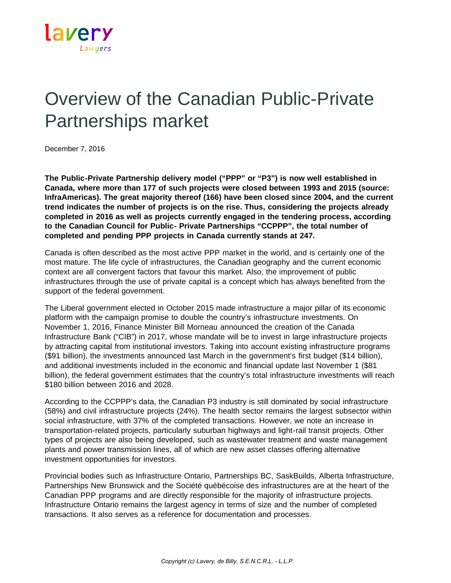

## Overview of the Canadian Public-Private Partnerships market

December 7, 2016

**The Public-Private Partnership delivery model ("PPP" or "P3") is now well established in Canada, where more than 177 of such projects were closed between 1993 and 2015 (source: InfraAmericas). The great majority thereof (166) have been closed since 2004, and the current trend indicates the number of projects is on the rise. Thus, considering the projects already completed in 2016 as well as projects currently engaged in the tendering process, according to the Canadian Council for Public- Private Partnerships "CCPPP", the total number of completed and pending PPP projects in Canada currently stands at 247.**

Canada is often described as the most active PPP market in the world, and is certainly one of the most mature. The life cycle of infrastructures, the Canadian geography and the current economic context are all convergent factors that favour this market. Also, the improvement of public infrastructures through the use of private capital is a concept which has always benefited from the support of the federal government.

The Liberal government elected in October 2015 made infrastructure a major pillar of its economic platform with the campaign promise to double the country's infrastructure investments. On November 1, 2016, Finance Minister Bill Morneau announced the creation of the Canada Infrastructure Bank ("CIB") in 2017, whose mandate will be to invest in large infrastructure projects by attracting capital from institutional investors. Taking into account existing infrastructure programs (\$91 billion), the investments announced last March in the government's first budget (\$14 billion), and additional investments included in the economic and financial update last November 1 (\$81 billion), the federal government estimates that the country's total infrastructure investments will reach \$180 billion between 2016 and 2028.

According to the CCPPP's data, the Canadian P3 industry is still dominated by social infrastructure (58%) and civil infrastructure projects (24%). The health sector remains the largest subsector within social infrastructure, with 37% of the completed transactions. However, we note an increase in transportation-related projects, particularly suburban highways and light-rail transit projects. Other types of projects are also being developed, such as wastewater treatment and waste management plants and power transmission lines, all of which are new asset classes offering alternative investment opportunities for investors.

Provincial bodies such as Infrastructure Ontario, Partnerships BC, SaskBuilds, Alberta Infrastructure, Partnerships New Brunswick and the Société québécoise des infrastructures are at the heart of the Canadian PPP programs and are directly responsible for the majority of infrastructure projects. Infrastructure Ontario remains the largest agency in terms of size and the number of completed transactions. It also serves as a reference for documentation and processes.